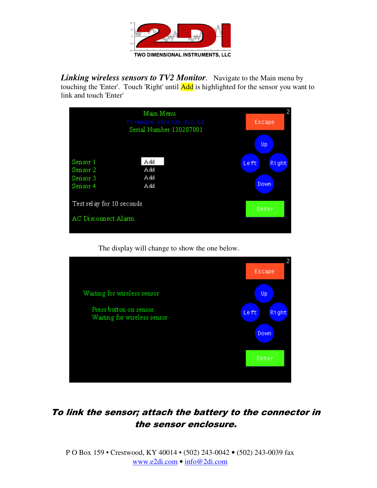

*Linking wireless sensors to TV2 Monitor.* Navigate to the Main menu by touching the 'Enter'. Touch 'Right' until **Add** is highlighted for the sensor you want to link and touch 'Enter'

|                                              | Main Menu<br>Firmware Version 3.0.8d<br>Serial Number 130207001 | 2<br>Escape<br>Up              |
|----------------------------------------------|-----------------------------------------------------------------|--------------------------------|
| Sensor 1<br>Sensor 2<br>Sensor 3<br>Sensor 4 | Add<br>Add<br>Add<br>Add                                        | <b>Right</b><br>Le ft<br>Down. |
| Test relay for 10 seconds                    |                                                                 | Enter                          |
| AC Disconnect Alarm:                         |                                                                 |                                |

The display will change to show the one below.



## To link the sensor; attach the battery to the connector in the sensor enclosure.

P O Box 159 • Crestwood, KY 40014 • (502) 243-0042 • (502) 243-0039 fax www.e2di.com • info@2di.com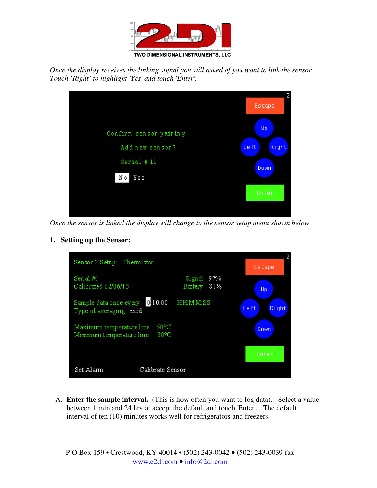

*Once the display receives the linking signal you will asked of you want to link the sensor. Touch 'Right' to highlight 'Yes' and touch 'Enter'.* 



*Once the sensor is linked the display will change to the sensor setup menu shown below*

**1. Setting up the Sensor:** 

| Sensor 2 Setup: Thermistor                                 |                         | Escape |               |
|------------------------------------------------------------|-------------------------|--------|---------------|
| Serial #1<br>Calibrated 02/06/13                           | Signal<br>Battery 81%   | 97%    | Up            |
| 0:10:00<br>Sample data once every<br>Type of averaging med | HH: MM: SS              |        | Left<br>Right |
| Maximum temperature line<br>Minimum temperature line       | 50 °C<br>$20^{\circ}$ C |        | Down          |
|                                                            |                         |        | Enter         |
| Set Alarm                                                  | Calibrate Sensor        |        |               |

A. **Enter the sample interval.** (This is how often you want to log data). Select a value between 1 min and 24 hrs or accept the default and touch 'Enter'. The default interval of ten (10) minutes works well for refrigerators and freezers.